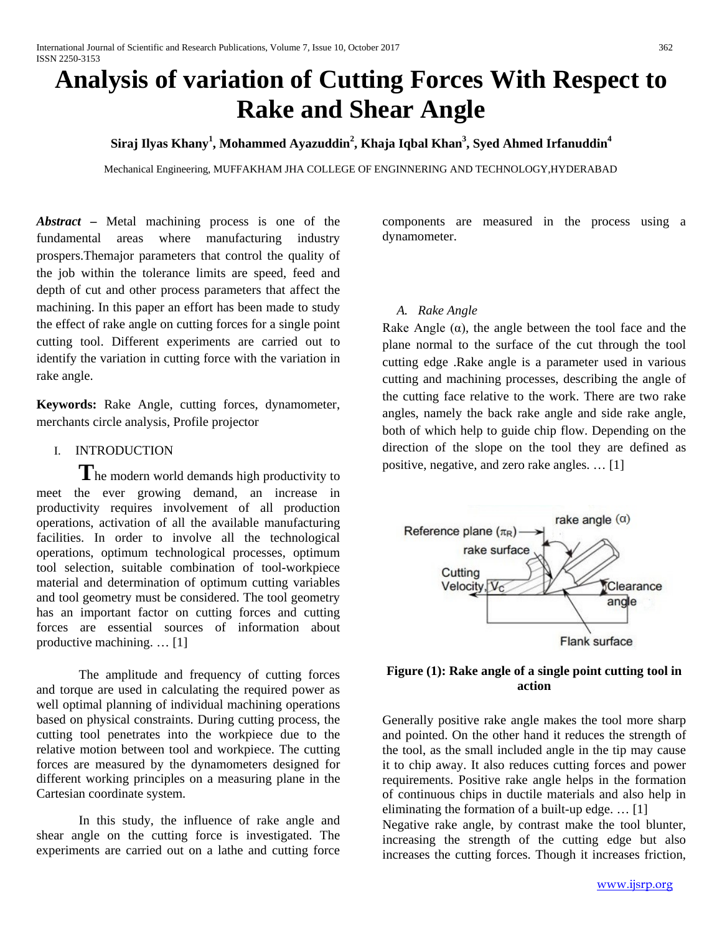# **Analysis of variation of Cutting Forces With Respect to Rake and Shear Angle**

# **Siraj Ilyas Khany<sup>1</sup> , Mohammed Ayazuddin<sup>2</sup> , Khaja Iqbal Khan<sup>3</sup> , Syed Ahmed Irfanuddin<sup>4</sup>**

Mechanical Engineering, MUFFAKHAM JHA COLLEGE OF ENGINNERING AND TECHNOLOGY,HYDERABAD

*Abstract* **–** Metal machining process is one of the fundamental areas where manufacturing industry prospers.Themajor parameters that control the quality of the job within the tolerance limits are speed, feed and depth of cut and other process parameters that affect the machining. In this paper an effort has been made to study the effect of rake angle on cutting forces for a single point cutting tool. Different experiments are carried out to identify the variation in cutting force with the variation in rake angle.

**Keywords:** Rake Angle, cutting forces, dynamometer, merchants circle analysis, Profile projector

I. INTRODUCTION

The modern world demands high productivity to meet the ever growing demand, an increase in productivity requires involvement of all production operations, activation of all the available manufacturing facilities. In order to involve all the technological operations, optimum technological processes, optimum tool selection, suitable combination of tool-workpiece material and determination of optimum cutting variables and tool geometry must be considered. The tool geometry has an important factor on cutting forces and cutting forces are essential sources of information about productive machining. … [1]

The amplitude and frequency of cutting forces and torque are used in calculating the required power as well optimal planning of individual machining operations based on physical constraints. During cutting process, the cutting tool penetrates into the workpiece due to the relative motion between tool and workpiece. The cutting forces are measured by the dynamometers designed for different working principles on a measuring plane in the Cartesian coordinate system.

In this study, the influence of rake angle and shear angle on the cutting force is investigated. The experiments are carried out on a lathe and cutting force

components are measured in the process using a dynamometer.

## *A. Rake Angle*

Rake Angle  $(\alpha)$ , the angle between the tool face and the plane normal to the surface of the cut through the tool cutting edge .Rake angle is a parameter used in various cutting and machining processes, describing the angle of the cutting face relative to the work. There are two rake angles, namely the back rake angle and side rake angle, both of which help to guide chip flow. Depending on the direction of the slope on the tool they are defined as positive, negative, and zero rake angles. … [1]



## **Figure (1): Rake angle of a single point cutting tool in action**

Generally positive rake angle makes the tool more sharp and pointed. On the other hand it reduces the strength of the tool, as the small included angle in the tip may cause it to chip away. It also reduces cutting forces and power requirements. Positive rake angle helps in the formation of continuous chips in ductile materials and also help in eliminating the formation of a built-up edge. … [1]

Negative rake angle, by contrast make the tool blunter, increasing the strength of the cutting edge but also increases the cutting forces. Though it increases friction,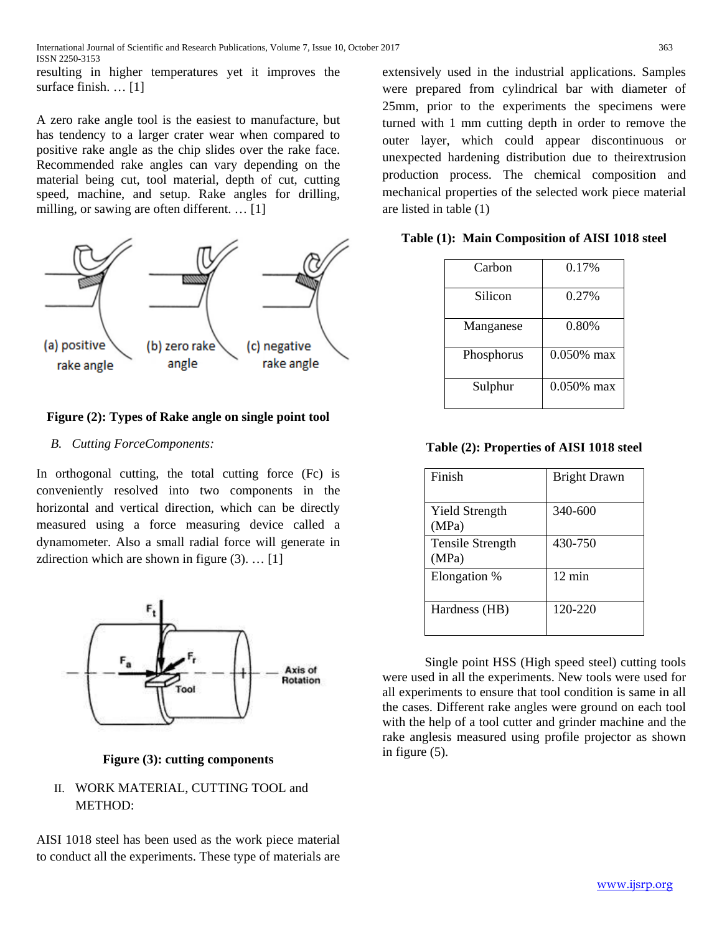resulting in higher temperatures yet it improves the surface finish. … [1]

A zero rake angle tool is the easiest to manufacture, but has tendency to a larger crater wear when compared to positive rake angle as the chip slides over the rake face. Recommended rake angles can vary depending on the material being cut, tool material, depth of cut, cutting speed, machine, and setup. Rake angles for drilling, milling, or sawing are often different. … [1]



## **Figure (2): Types of Rake angle on single point tool**

## *B. Cutting ForceComponents:*

In orthogonal cutting, the total cutting force (Fc) is conveniently resolved into two components in the horizontal and vertical direction, which can be directly measured using a force measuring device called a dynamometer. Also a small radial force will generate in zdirection which are shown in figure  $(3)$ . ... [1]



**Figure (3): cutting components**

# II. WORK MATERIAL, CUTTING TOOL and METHOD:

AISI 1018 steel has been used as the work piece material to conduct all the experiments. These type of materials are extensively used in the industrial applications. Samples were prepared from cylindrical bar with diameter of 25mm, prior to the experiments the specimens were turned with 1 mm cutting depth in order to remove the outer layer, which could appear discontinuous or unexpected hardening distribution due to theirextrusion production process. The chemical composition and mechanical properties of the selected work piece material are listed in table (1)

**Table (1): Main Composition of AISI 1018 steel**

| Carbon     | 0.17%         |
|------------|---------------|
| Silicon    | 0.27%         |
| Manganese  | 0.80%         |
| Phosphorus | 0.050% max    |
| Sulphur    | $0.050\%$ max |

**Table (2): Properties of AISI 1018 steel**

| Finish                           | <b>Bright Drawn</b> |
|----------------------------------|---------------------|
| <b>Yield Strength</b><br>(MPa)   | 340-600             |
| <b>Tensile Strength</b><br>(MPa) | 430-750             |
| Elongation %                     | $12 \text{ min}$    |
| Hardness (HB)                    | 120-220             |

Single point HSS (High speed steel) cutting tools were used in all the experiments. New tools were used for all experiments to ensure that tool condition is same in all the cases. Different rake angles were ground on each tool with the help of a tool cutter and grinder machine and the rake anglesis measured using profile projector as shown in figure (5).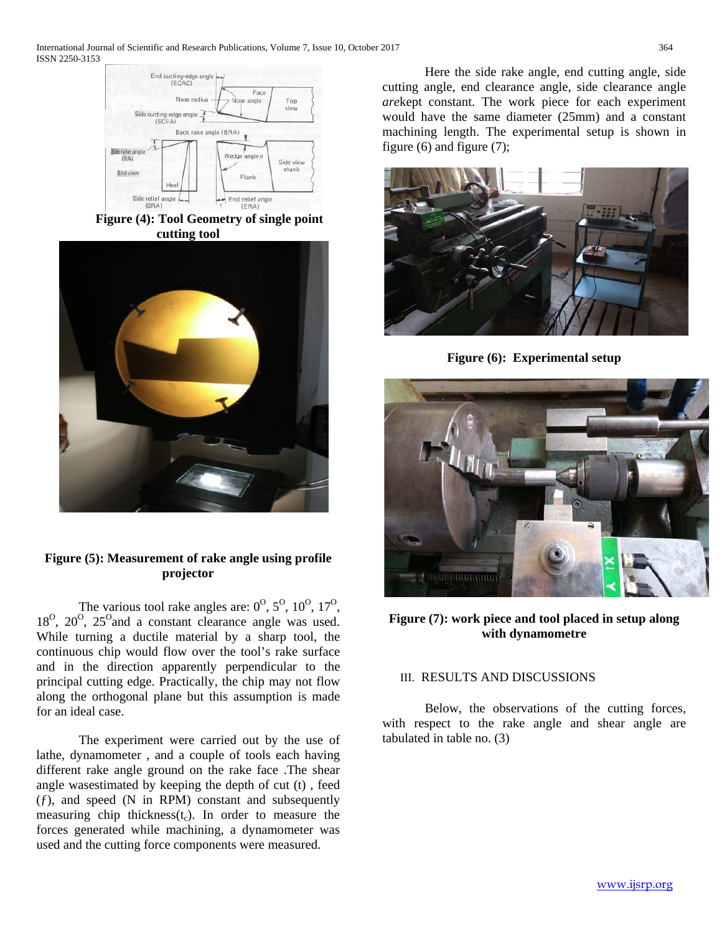

**Figure (4): Tool Geometry of single point cutting tool**



# **Figure (5): Measurement of rake angle using profile projector**

The various tool rake angles are:  $0^{\circ}$ ,  $5^{\circ}$ ,  $10^{\circ}$ ,  $17^{\circ}$ ,  $18^{\circ}$ ,  $20^{\circ}$ ,  $25^{\circ}$  and a constant clearance angle was used. While turning a ductile material by a sharp tool, the continuous chip would flow over the tool's rake surface and in the direction apparently perpendicular to the principal cutting edge. Practically, the chip may not flow along the orthogonal plane but this assumption is made for an ideal case.

The experiment were carried out by the use of lathe, dynamometer , and a couple of tools each having different rake angle ground on the rake face .The shear angle wasestimated by keeping the depth of cut (t) , feed  $(f)$ , and speed (N in RPM) constant and subsequently measuring chip thickness( $t_c$ ). In order to measure the forces generated while machining, a dynamometer was used and the cutting force components were measured.

Here the side rake angle, end cutting angle, side cutting angle, end clearance angle, side clearance angle *are*kept constant. The work piece for each experiment would have the same diameter (25mm) and a constant machining length. The experimental setup is shown in figure (6) and figure (7);



**Figure (6): Experimental setup**



**Figure (7): work piece and tool placed in setup along with dynamometre**

## III. RESULTS AND DISCUSSIONS

Below, the observations of the cutting forces, with respect to the rake angle and shear angle are tabulated in table no. (3)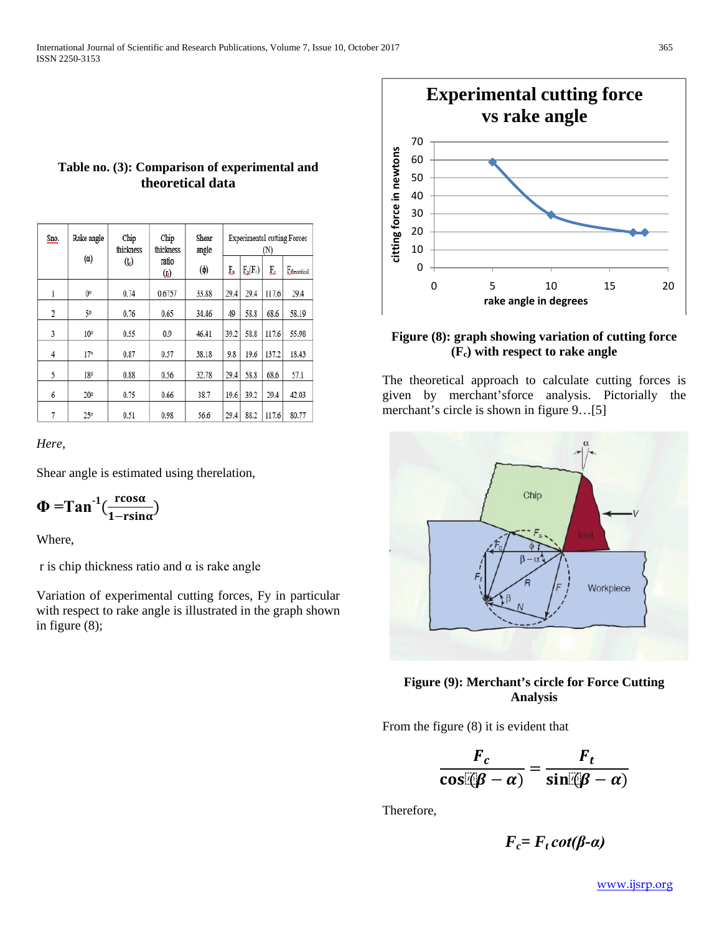| Sno. | Rake angle      | Chip<br>thickness | Chip<br>thickness               | Shear<br>angle<br>$(\phi)$ | <b>Experimental cutting Forces</b><br>(N) |            |       |                          |
|------|-----------------|-------------------|---------------------------------|----------------------------|-------------------------------------------|------------|-------|--------------------------|
|      |                 | (t)               | $(\alpha)$<br>ratio<br>$\omega$ |                            | E.                                        | $F_x(F_c)$ | F,    | F <sub>fbeoritical</sub> |
| l    | 0°              | 0.74              | 0.6757                          | 33.88                      | 29.4                                      | 29.4       | 117.6 | 29.4                     |
| 2    | 50              | 0.76              | 0.65                            | 34.46                      | 49                                        | 58.8       | 68.6  | 58.19                    |
| 3    | 10 <sup>o</sup> | 0.55              | 0.9                             | 46.41                      | 39.2                                      | 58.8       | 117.6 | 55.98                    |
| 4    | 17°             | 0.87              | 0.57                            | 38.18                      | 9.8                                       | 19.6       | 137.2 | 18.43                    |
| 5    | 18°             | 0.88              | 0.56                            | 32.78                      | 29.4                                      | 58.8       | 68.6  | 57.1                     |
| 6    | 20°             | 0.75              | 0.66                            | 38.7                       | 19.6                                      | 39.2       | 29.4  | 42.03                    |
| 7    | 25°             | 0.51              | 0.98                            | 56.6                       | 29.4                                      | 88.2       | 117.6 | 80.77                    |

**Table no. (3): Comparison of experimental and theoretical data**

#### *Here,*

Shear angle is estimated using therelation,

$$
\Phi = \tan^{-1}(\frac{\text{rcos}\alpha}{1-\text{rsin}\alpha})
$$

Where,

r is chip thickness ratio and  $\alpha$  is rake angle

Variation of experimental cutting forces, Fy in particular with respect to rake angle is illustrated in the graph shown in figure (8);



### **Figure (8): graph showing variation of cutting force (Fc) with respect to rake angle**

The theoretical approach to calculate cutting forces is given by merchant'sforce analysis. Pictorially the merchant's circle is shown in figure 9...[5]



## **Figure (9): Merchant's circle for Force Cutting Analysis**

From the figure (8) it is evident that

$$
\frac{F_c}{\cos(\beta - \alpha)} = \frac{F_t}{\sin(\beta - \alpha)}
$$

Therefore,

$$
F_c = F_t \cot(\beta \cdot \alpha)
$$